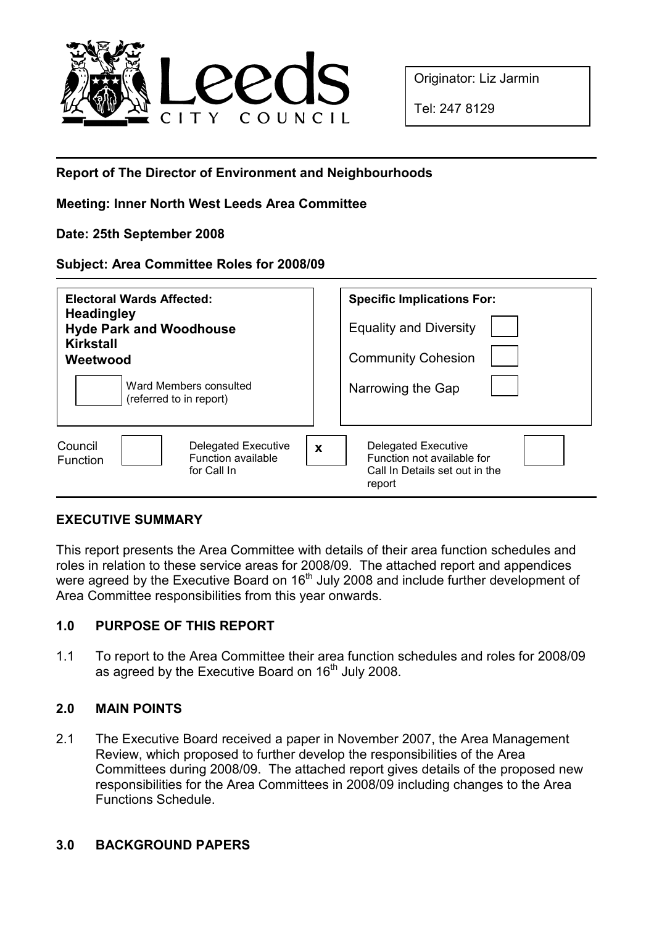

Originator: Liz Jarmin

Tel: 247 8129

# Report of The Director of Environment and Neighbourhoods

#### Meeting: Inner North West Leeds Area Committee

#### Date: 25th September 2008

#### Subject: Area Committee Roles for 2008/09

| Electoral Wards Affected:<br><b>Headingley</b><br><b>Hyde Park and Woodhouse</b><br><b>Kirkstall</b><br>Weetwood | <b>Specific Implications For:</b><br><b>Equality and Diversity</b><br><b>Community Cohesion</b>              |
|------------------------------------------------------------------------------------------------------------------|--------------------------------------------------------------------------------------------------------------|
| Ward Members consulted<br>(referred to in report)                                                                | Narrowing the Gap                                                                                            |
| <b>Delegated Executive</b><br>Council<br>Function available<br><b>Function</b><br>for Call In                    | Delegated Executive<br>$\mathbf x$<br>Function not available for<br>Call In Details set out in the<br>report |

## EXECUTIVE SUMMARY

This report presents the Area Committee with details of their area function schedules and roles in relation to these service areas for 2008/09. The attached report and appendices were agreed by the Executive Board on 16<sup>th</sup> July 2008 and include further development of Area Committee responsibilities from this year onwards.

## 1.0 PURPOSE OF THIS REPORT

1.1 To report to the Area Committee their area function schedules and roles for 2008/09 as agreed by the Executive Board on  $16<sup>th</sup>$  July 2008.

## 2.0 MAIN POINTS

2.1 The Executive Board received a paper in November 2007, the Area Management Review, which proposed to further develop the responsibilities of the Area Committees during 2008/09. The attached report gives details of the proposed new responsibilities for the Area Committees in 2008/09 including changes to the Area Functions Schedule.

#### 3.0 BACKGROUND PAPERS